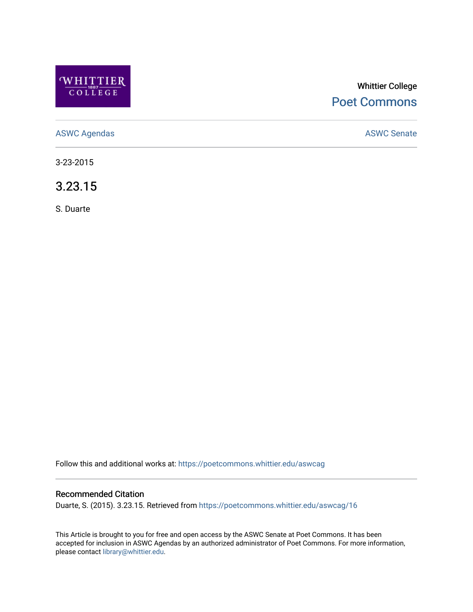

# Whittier College [Poet Commons](https://poetcommons.whittier.edu/)

[ASWC Agendas](https://poetcommons.whittier.edu/aswcag) **ASWC Senate** 

3-23-2015

3.23.15

S. Duarte

Follow this and additional works at: [https://poetcommons.whittier.edu/aswcag](https://poetcommons.whittier.edu/aswcag?utm_source=poetcommons.whittier.edu%2Faswcag%2F16&utm_medium=PDF&utm_campaign=PDFCoverPages) 

# Recommended Citation

Duarte, S. (2015). 3.23.15. Retrieved from [https://poetcommons.whittier.edu/aswcag/16](https://poetcommons.whittier.edu/aswcag/16?utm_source=poetcommons.whittier.edu%2Faswcag%2F16&utm_medium=PDF&utm_campaign=PDFCoverPages) 

This Article is brought to you for free and open access by the ASWC Senate at Poet Commons. It has been accepted for inclusion in ASWC Agendas by an authorized administrator of Poet Commons. For more information, please contact [library@whittier.edu](mailto:library@whittier.edu).